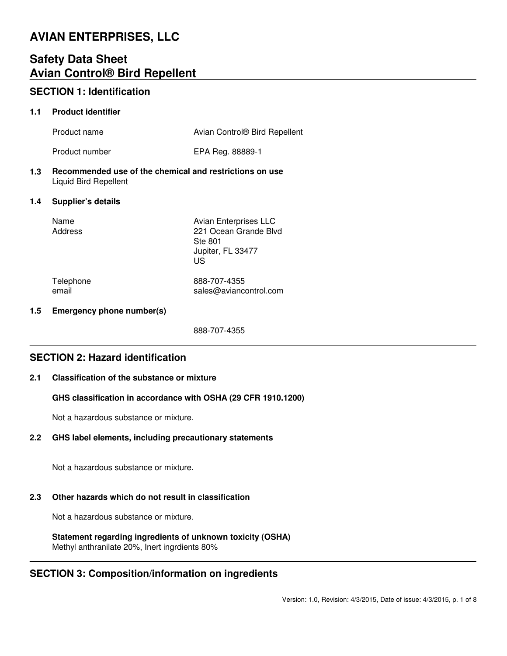# **AVIAN ENTERPRISES, LLC**

# **Safety Data Sheet Avian Control® Bird Repellent**

# **SECTION 1: Identification**

### **1.1 Product identifier**

| Product name   | Avian Control® Bird Repellent |
|----------------|-------------------------------|
| Product number | EPA Reg. 88889-1              |

**1.3 Recommended use of the chemical and restrictions on use** Liquid Bird Repellent

### **1.4 Supplier's details**

| Name    |  |
|---------|--|
| Address |  |

Avian Enterprises LLC 221 Ocean Grande Blvd Ste 801 Jupiter, FL 33477 US

Telephone 888-707-4355 email sales@aviancontrol.com

### **1.5 Emergency phone number(s)**

888-707-4355

# **SECTION 2: Hazard identification**

### **2.1 Classification of the substance or mixture**

### **GHS classification in accordance with OSHA (29 CFR 1910.1200)**

Not a hazardous substance or mixture.

### **2.2 GHS label elements, including precautionary statements**

Not a hazardous substance or mixture.

# **2.3 Other hazards which do not result in classification**

Not a hazardous substance or mixture.

**Statement regarding ingredients of unknown toxicity (OSHA)** Methyl anthranilate 20%, Inert ingrdients 80%

# **SECTION 3: Composition/information on ingredients**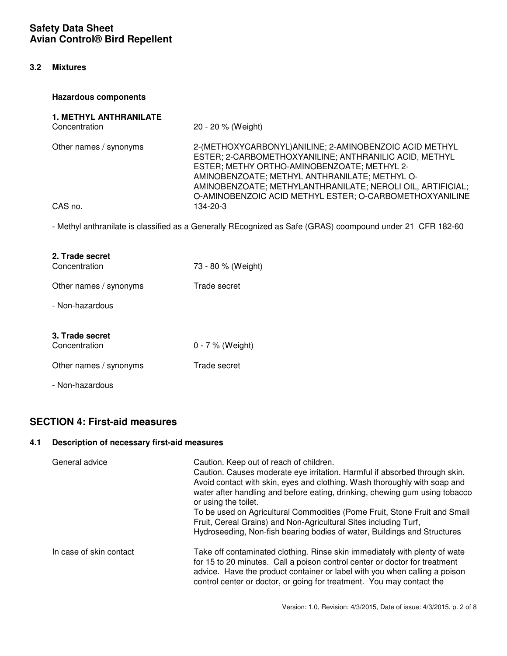### **3.2 Mixtures**

### **Hazardous components**

| <b>1. METHYL ANTHRANILATE</b><br>Concentration                                                             | 20 - 20 % (Weight)                                                                                                                                                                                                                                                                                                                         |  |
|------------------------------------------------------------------------------------------------------------|--------------------------------------------------------------------------------------------------------------------------------------------------------------------------------------------------------------------------------------------------------------------------------------------------------------------------------------------|--|
| Other names / synonyms                                                                                     | 2-(METHOXYCARBONYL) ANILINE; 2-AMINOBENZOIC ACID METHYL<br>ESTER; 2-CARBOMETHOXYANILINE; ANTHRANILIC ACID, METHYL<br>ESTER; METHY ORTHO-AMINOBENZOATE; METHYL 2-<br>AMINOBENZOATE; METHYL ANTHRANILATE; METHYL O-<br>AMINOBENZOATE; METHYLANTHRANILATE; NEROLI OIL, ARTIFICIAL;<br>O-AMINOBENZOIC ACID METHYL ESTER; O-CARBOMETHOXYANILINE |  |
| CAS no.                                                                                                    | 134-20-3                                                                                                                                                                                                                                                                                                                                   |  |
| - Methyl anthranilate is classified as a Generally REcognized as Safe (GRAS) coompound under 21 CFR 182-60 |                                                                                                                                                                                                                                                                                                                                            |  |
| 2. Trade secret                                                                                            |                                                                                                                                                                                                                                                                                                                                            |  |
| Concentration                                                                                              | 73 - 80 % (Weight)                                                                                                                                                                                                                                                                                                                         |  |
| Other names / synonyms                                                                                     | Trade secret                                                                                                                                                                                                                                                                                                                               |  |
| - Non-hazardous                                                                                            |                                                                                                                                                                                                                                                                                                                                            |  |
|                                                                                                            |                                                                                                                                                                                                                                                                                                                                            |  |
| 3. Trade secret<br>Concentration                                                                           | 0 - 7 % (Weight)                                                                                                                                                                                                                                                                                                                           |  |

Other names / synonyms Trade secret

- Non-hazardous

# **SECTION 4: First-aid measures**

# **4.1 Description of necessary first-aid measures**

| General advice          | Caution. Keep out of reach of children.<br>Caution. Causes moderate eye irritation. Harmful if absorbed through skin.<br>Avoid contact with skin, eyes and clothing. Wash thoroughly with soap and<br>water after handling and before eating, drinking, chewing gum using tobacco<br>or using the toilet.<br>To be used on Agricultural Commodities (Pome Fruit, Stone Fruit and Small<br>Fruit, Cereal Grains) and Non-Agricultural Sites including Turf,<br>Hydroseeding, Non-fish bearing bodies of water, Buildings and Structures |
|-------------------------|----------------------------------------------------------------------------------------------------------------------------------------------------------------------------------------------------------------------------------------------------------------------------------------------------------------------------------------------------------------------------------------------------------------------------------------------------------------------------------------------------------------------------------------|
| In case of skin contact | Take off contaminated clothing. Rinse skin immediately with plenty of wate<br>for 15 to 20 minutes. Call a poison control center or doctor for treatment<br>advice. Have the product container or label with you when calling a poison<br>control center or doctor, or going for treatment. You may contact the                                                                                                                                                                                                                        |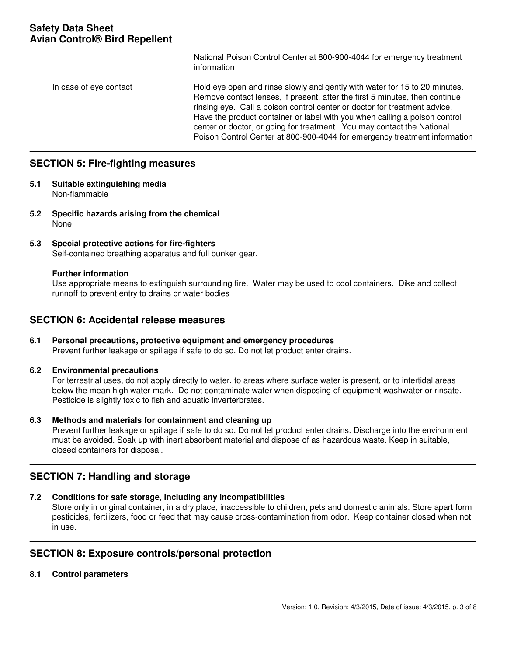National Poison Control Center at 800-900-4044 for emergency treatment information

### In case of eye contact Hold eye open and rinse slowly and gently with water for 15 to 20 minutes. Remove contact lenses, if present, after the first 5 minutes, then continue rinsing eye. Call a poison control center or doctor for treatment advice. Have the product container or label with you when calling a poison control center or doctor, or going for treatment. You may contact the National Poison Control Center at 800-900-4044 for emergency treatment information

# **SECTION 5: Fire-fighting measures**

- **5.1 Suitable extinguishing media** Non-flammable
- **5.2 Specific hazards arising from the chemical** None
- **5.3 Special protective actions for fire-fighters** Self-contained breathing apparatus and full bunker gear.

#### **Further information**

Use appropriate means to extinguish surrounding fire. Water may be used to cool containers. Dike and collect runnoff to prevent entry to drains or water bodies

### **SECTION 6: Accidental release measures**

### **6.1 Personal precautions, protective equipment and emergency procedures**

Prevent further leakage or spillage if safe to do so. Do not let product enter drains.

#### **6.2 Environmental precautions**

For terrestrial uses, do not apply directly to water, to areas where surface water is present, or to intertidal areas below the mean high water mark. Do not contaminate water when disposing of equipment washwater or rinsate. Pesticide is slightly toxic to fish and aquatic inverterbrates.

### **6.3 Methods and materials for containment and cleaning up**

Prevent further leakage or spillage if safe to do so. Do not let product enter drains. Discharge into the environment must be avoided. Soak up with inert absorbent material and dispose of as hazardous waste. Keep in suitable, closed containers for disposal.

# **SECTION 7: Handling and storage**

#### **7.2 Conditions for safe storage, including any incompatibilities**

Store only in original container, in a dry place, inaccessible to children, pets and domestic animals. Store apart form pesticides, fertilizers, food or feed that may cause cross-contamination from odor. Keep container closed when not in use.

# **SECTION 8: Exposure controls/personal protection**

#### **8.1 Control parameters**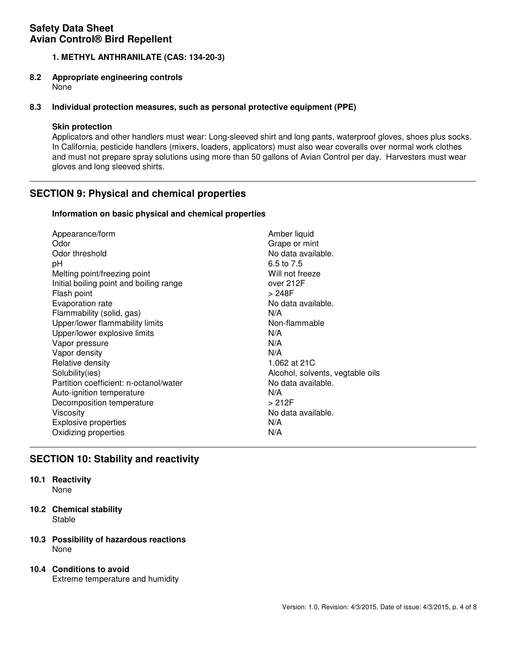### **1. METHYL ANTHRANILATE (CAS: 134-20-3)**

# **8.2 Appropriate engineering controls**

None

### **8.3 Individual protection measures, such as personal protective equipment (PPE)**

### **Skin protection**

Applicators and other handlers must wear: Long-sleeved shirt and long pants, waterproof gloves, shoes plus socks. In California, pesticide handlers (mixers, loaders, applicators) must also wear coveralls over normal work clothes and must not prepare spray solutions using more than 50 gallons of Avian Control per day. Harvesters must wear gloves and long sleeved shirts.

# **SECTION 9: Physical and chemical properties**

### **Information on basic physical and chemical properties**

| Appearance/form                         | Amber liquid                     |
|-----------------------------------------|----------------------------------|
| Odor                                    | Grape or mint                    |
| Odor threshold                          | No data available.               |
| рH                                      | 6.5 to 7.5                       |
| Melting point/freezing point            | Will not freeze                  |
| Initial boiling point and boiling range | over 212F                        |
| Flash point                             | > 248F                           |
| Evaporation rate                        | No data available.               |
| Flammability (solid, gas)               | N/A                              |
| Upper/lower flammability limits         | Non-flammable                    |
| Upper/lower explosive limits            | N/A                              |
| Vapor pressure                          | N/A                              |
| Vapor density                           | N/A                              |
| Relative density                        | 1.062 at 21C                     |
| Solubility(ies)                         | Alcohol, solvents, vegtable oils |
| Partition coefficient: n-octanol/water  | No data available.               |
| Auto-ignition temperature               | N/A                              |
| Decomposition temperature               | >212F                            |
| Viscosity                               | No data available.               |
| <b>Explosive properties</b>             | N/A                              |
| Oxidizing properties                    | N/A                              |

# **SECTION 10: Stability and reactivity**

# **10.1 Reactivity**

None

**10.2 Chemical stability Stable** 

### **10.3 Possibility of hazardous reactions** None

# **10.4 Conditions to avoid**

Extreme temperature and humidity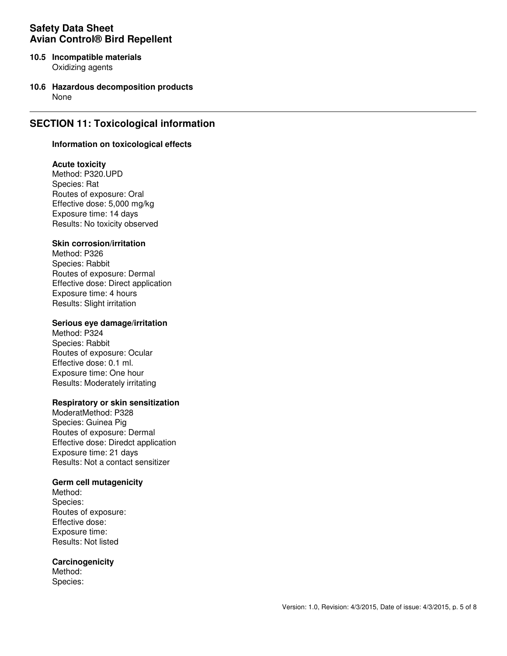- **10.5 Incompatible materials** Oxidizing agents
- **10.6 Hazardous decomposition products** None

# **SECTION 11: Toxicological information**

#### **Information on toxicological effects**

### **Acute toxicity**

Method: P320.UPD Species: Rat Routes of exposure: Oral Effective dose: 5,000 mg/kg Exposure time: 14 days Results: No toxicity observed

### **Skin corrosion/irritation**

Method: P326 Species: Rabbit Routes of exposure: Dermal Effective dose: Direct application Exposure time: 4 hours Results: Slight irritation

#### **Serious eye damage/irritation**

Method: P324 Species: Rabbit Routes of exposure: Ocular Effective dose: 0.1 ml. Exposure time: One hour Results: Moderately irritating

#### **Respiratory or skin sensitization**

ModeratMethod: P328 Species: Guinea Pig Routes of exposure: Dermal Effective dose: Diredct application Exposure time: 21 days Results: Not a contact sensitizer

#### **Germ cell mutagenicity**

Method: Species: Routes of exposure: Effective dose: Exposure time: Results: Not listed

#### **Carcinogenicity**

Method: Species: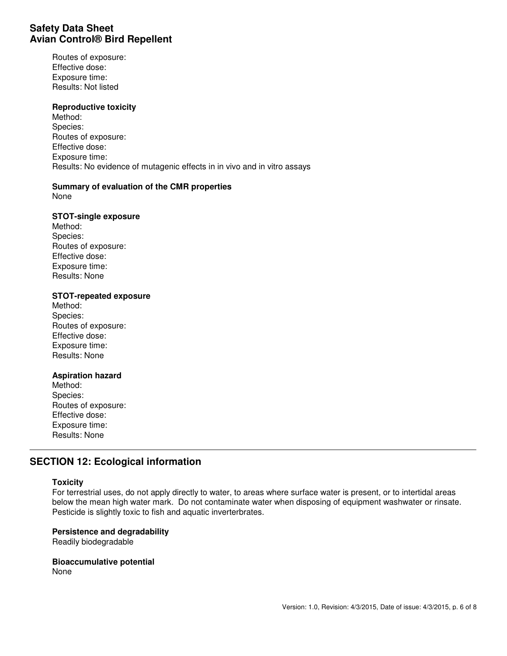Routes of exposure: Effective dose: Exposure time: Results: Not listed

#### **Reproductive toxicity**

Method: Species: Routes of exposure: Effective dose: Exposure time: Results: No evidence of mutagenic effects in in vivo and in vitro assays

### **Summary of evaluation of the CMR properties**

None

#### **STOT-single exposure**

Method: Species: Routes of exposure: Effective dose: Exposure time: Results: None

#### **STOT-repeated exposure**

Method: Species: Routes of exposure: Effective dose: Exposure time: Results: None

#### **Aspiration hazard**

Method: Species: Routes of exposure: Effective dose: Exposure time: Results: None

# **SECTION 12: Ecological information**

#### **Toxicity**

For terrestrial uses, do not apply directly to water, to areas where surface water is present, or to intertidal areas below the mean high water mark. Do not contaminate water when disposing of equipment washwater or rinsate. Pesticide is slightly toxic to fish and aquatic inverterbrates.

### **Persistence and degradability**

Readily biodegradable

**Bioaccumulative potential** None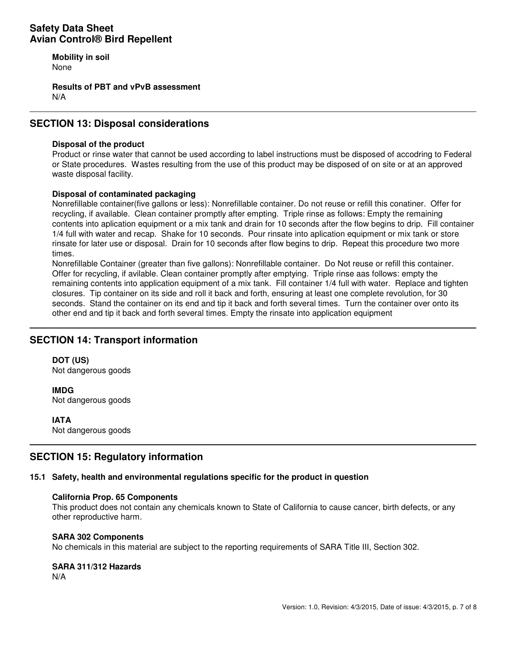**Mobility in soil** None

**Results of PBT and vPvB assessment** N/A

# **SECTION 13: Disposal considerations**

### **Disposal of the product**

Product or rinse water that cannot be used according to label instructions must be disposed of accodring to Federal or State procedures. Wastes resulting from the use of this product may be disposed of on site or at an approved waste disposal facility.

### **Disposal of contaminated packaging**

Nonrefillable container(five gallons or less): Nonrefillable container. Do not reuse or refill this conatiner. Offer for recycling, if available. Clean container promptly after empting. Triple rinse as follows: Empty the remaining contents into aplication equipment or a mix tank and drain for 10 seconds after the flow begins to drip. Fill container 1/4 full with water and recap. Shake for 10 seconds. Pour rinsate into aplication equipment or mix tank or store rinsate for later use or disposal. Drain for 10 seconds after flow begins to drip. Repeat this procedure two more times.

Nonrefillable Container (greater than five gallons): Nonrefillable container. Do Not reuse or refill this container. Offer for recycling, if avilable. Clean container promptly after emptying. Triple rinse aas follows: empty the remaining contents into application equipment of a mix tank. Fill container 1/4 full with water. Replace and tighten closures. Tip container on its side and roll it back and forth, ensuring at least one complete revolution, for 30 seconds. Stand the container on its end and tip it back and forth several times. Turn the container over onto its other end and tip it back and forth several times. Empty the rinsate into application equipment

# **SECTION 14: Transport information**

**DOT (US)** Not dangerous goods

**IMDG** Not dangerous goods

**IATA**

Not dangerous goods

# **SECTION 15: Regulatory information**

#### **15.1 Safety, health and environmental regulations specific for the product in question**

#### **California Prop. 65 Components**

This product does not contain any chemicals known to State of California to cause cancer, birth defects, or any other reproductive harm.

#### **SARA 302 Components**

No chemicals in this material are subject to the reporting requirements of SARA Title III, Section 302.

#### **SARA 311/312 Hazards**

N/A